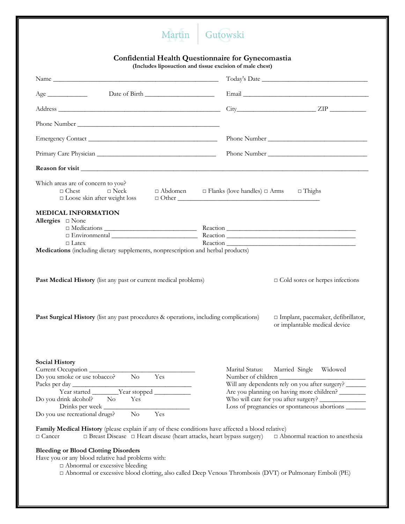## Martin Gutowski

## **Confidential Health Questionnaire for Gynecomastia**

**(Includes liposuction and tissue excision of male chest)**

|                                                                                                                                                                                                                                                        | $City$ $ZIP$ $\_\_\_\_\_\_\_$                                                                                                                               |  |  |
|--------------------------------------------------------------------------------------------------------------------------------------------------------------------------------------------------------------------------------------------------------|-------------------------------------------------------------------------------------------------------------------------------------------------------------|--|--|
|                                                                                                                                                                                                                                                        |                                                                                                                                                             |  |  |
|                                                                                                                                                                                                                                                        |                                                                                                                                                             |  |  |
|                                                                                                                                                                                                                                                        | Phone Number                                                                                                                                                |  |  |
|                                                                                                                                                                                                                                                        |                                                                                                                                                             |  |  |
| Which areas are of concern to you?<br>$\Box$ Chest<br>$\Box$ Neck<br>$\square$ Loose skin after weight loss                                                                                                                                            | $\Box$ Abdomen $\Box$ Flanks (love handles) $\Box$ Arms $\Box$ Thighs<br>$\Box$ Other                                                                       |  |  |
| <b>MEDICAL INFORMATION</b><br>Allergies $\square$ None<br>$\Box$ Latex<br>Medications (including dietary supplements, nonprescription and herbal products)                                                                                             |                                                                                                                                                             |  |  |
| Past Medical History (list any past or current medical problems)                                                                                                                                                                                       | $\Box$ Cold sores or herpes infections                                                                                                                      |  |  |
| Past Surgical History (list any past procedures & operations, including complications)                                                                                                                                                                 | □ Implant, pacemaker, defibrillator,<br>or implantable medical device                                                                                       |  |  |
| <b>Social History</b><br>Current Occupation<br>Do you smoke or use tobacco? No<br>Yes                                                                                                                                                                  | Marital Status:<br>Married Single Widowed<br>Number of children                                                                                             |  |  |
| Packs per day $\frac{1}{\sqrt{2\pi}}$ Year started $\frac{1}{\sqrt{2\pi}}$ Year stopped $\frac{1}{\sqrt{2\pi}}$                                                                                                                                        | Will any dependents rely on you after surgery?<br>Are you planning on having more children? ________<br>Loss of pregnancies or spontaneous abortions ______ |  |  |
| Do you drink alcohol?<br>No.<br>Yes<br>Drinks per week                                                                                                                                                                                                 |                                                                                                                                                             |  |  |
| Do you use recreational drugs?<br>$\rm No$<br>Yes                                                                                                                                                                                                      |                                                                                                                                                             |  |  |
| Family Medical History (please explain if any of these conditions have affected a blood relative)<br>$\Box$ Breast Disease $\Box$ Heart disease (heart attacks, heart bypass surgery)<br>$\Box$ Cancer                                                 | $\Box$<br>Abnormal reaction to an<br>esthesia                                                                                                               |  |  |
| <b>Bleeding or Blood Clotting Disorders</b><br>Have you or any blood relative had problems with:<br>$\Box$ Abnormal or excessive bleeding<br>□ Abnormal or excessive blood clotting, also called Deep Venous Thrombosis (DVT) or Pulmonary Emboli (PE) |                                                                                                                                                             |  |  |